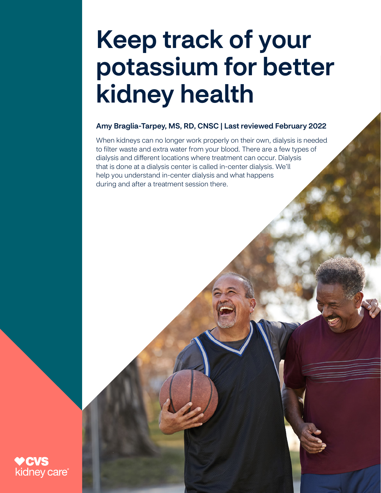# Keep track of your potassium for better kidney health

#### Amy Braglia-Tarpey, MS, RD, CNSC | Last reviewed February 2022

When kidneys can no longer work properly on their own, dialysis is needed to filter waste and extra water from your blood. There are a few types of dialysis and different locations where treatment can occur. Dialysis that is done at a dialysis center is called in-center dialysis. We'll help you understand in-center dialysis and what happens during and after a treatment session there.

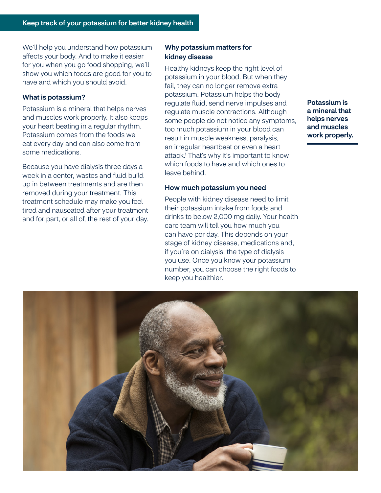We'll help you understand how potassium affects your body. And to make it easier for you when you go food shopping, we'll show you which foods are good for you to have and which you should avoid.

#### What is potassium?

Potassium is a mineral that helps nerves and muscles work properly. It also keeps your heart beating in a regular rhythm. Potassium comes from the foods we eat every day and can also come from some medications.

Because you have dialysis three days a week in a center, wastes and fluid build up in between treatments and are then removed during your treatment. This treatment schedule may make you feel tired and nauseated after your treatment and for part, or all of, the rest of your day.

#### Why potassium matters for kidney disease

Healthy kidneys keep the right level of potassium in your blood. But when they fail, they can no longer remove extra potassium. Potassium helps the body regulate fluid, send nerve impulses and regulate muscle contractions. Although some people do not notice any symptoms, too much potassium in your blood can result in muscle weakness, paralysis, an irregular heartbeat or even a heart attack.<sup>1</sup> That's why it's important to know which foods to have and which ones to leave behind.

#### How much potassium you need

People with kidney disease need to limit their potassium intake from foods and drinks to below 2,000 mg daily. Your health care team will tell you how much you can have per day. This depends on your stage of kidney disease, medications and, if you're on dialysis, the type of dialysis you use. Once you know your potassium number, you can choose the right foods to keep you healthier.

Potassium is a mineral that helps nerves and muscles work properly.